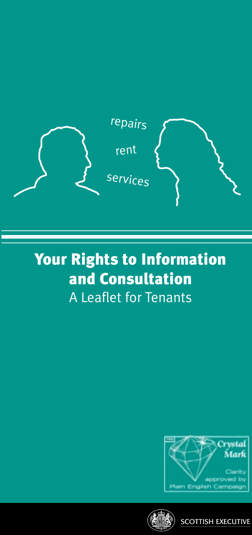

# Your Rights to Information and Consultation A Leaflet for Tenants





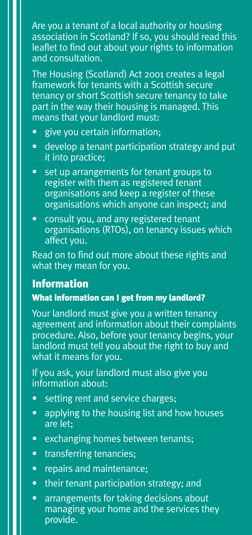Are you a tenant of a local authority or housing association in Scotland? If so, you should read this leaflet to find out about your rights to information and consultation.

The Housing (Scotland) Act 2001 creates a legal framework for tenants with a Scottish secure tenancy or short Scottish secure tenancy to take part in the way their housing is managed. This means that your landlord must:

- give you certain information;
- develop a tenant participation strategy and put it into practice;
- set up arrangements for tenant groups to register with them as registered tenant organisations and keep a register of these organisations which anyone can inspect; and
- consult you, and any registered tenant organisations (RTOs), on tenancy issues which affect you.

Read on to find out more about these rights and what they mean for you.

## Information

#### What information can I get from my landlord?

Your landlord must give you a written tenancy agreement and information about their complaints procedure. Also, before your tenancy begins, your landlord must tell you about the right to buy and what it means for you.

If you ask, your landlord must also give you information about:

- setting rent and service charges;
- applying to the housing list and how houses are let;
- exchanging homes between tenants;
- transferring tenancies;
- repairs and maintenance;
- their tenant participation strategy; and
- arrangements for taking decisions about managing your home and the services they provide.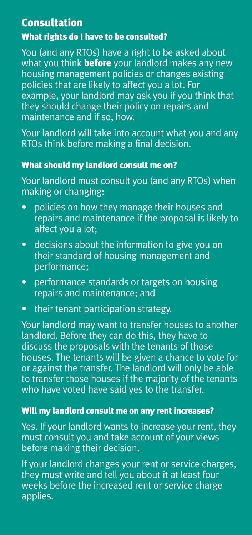# Consultation

## What rights do I have to be consulted?

You (and any RTOs) have a right to be asked about what you think **before** your landlord makes any new housing management policies or changes existing policies that are likely to affect you a lot. For example, your landlord may ask you if you think that they should change their policy on repairs and maintenance and if so, how.

Your landlord will take into account what you and any RTOs think before making a final decision.

## What should my landlord consult me on?

Your landlord must consult you (and any RTOs) when making or changing:

- policies on how they manage their houses and repairs and maintenance if the proposal is likely to affect you a lot;
- decisions about the information to give you on their standard of housing management and performance;
- performance standards or targets on housing repairs and maintenance; and
- their tenant participation strategy.

Your landlord may want to transfer houses to another landlord. Before they can do this, they have to discuss the proposals with the tenants of those houses. The tenants will be given a chance to vote for or against the transfer. The landlord will only be able to transfer those houses if the majority of the tenants who have voted have said yes to the transfer.

#### Will my landlord consult me on any rent increases?

Yes. If your landlord wants to increase your rent, they must consult you and take account of your views before making their decision.

If your landlord changes your rent or service charges, they must write and tell you about it at least four weeks before the increased rent or service charge applies.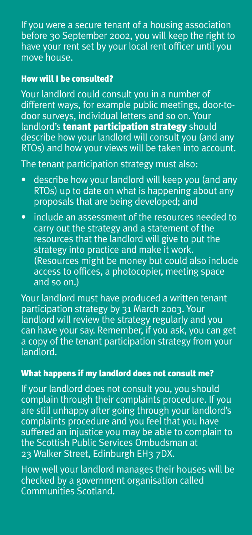If you were a secure tenant of a housing association before 30 September 2002, you will keep the right to have your rent set by your local rent officer until you move house.

#### How will I be consulted?

Your landlord could consult you in a number of different ways, for example public meetings, door-todoor surveys, individual letters and so on. Your landlord's tenant participation strategy should describe how your landlord will consult you (and any RTOs) and how your views will be taken into account.

The tenant participation strategy must also:

- describe how your landlord will keep you (and any RTOs) up to date on what is happening about any proposals that are being developed; and
- include an assessment of the resources needed to carry out the strategy and a statement of the resources that the landlord will give to put the strategy into practice and make it work. (Resources might be money but could also include access to offices, a photocopier, meeting space and so on.)

Your landlord must have produced a written tenant participation strategy by 31 March 2003. Your landlord will review the strategy regularly and you can have your say. Remember, if you ask, you can get a copy of the tenant participation strategy from your landlord.

#### What happens if my landlord does not consult me?

If your landlord does not consult you, you should complain through their complaints procedure. If you are still unhappy after going through your landlord's complaints procedure and you feel that you have suffered an injustice you may be able to complain to the Scottish Public Services Ombudsman at 23 Walker Street, Edinburgh EH3 7DX.

How well your landlord manages their houses will be checked by a government organisation called Communities Scotland.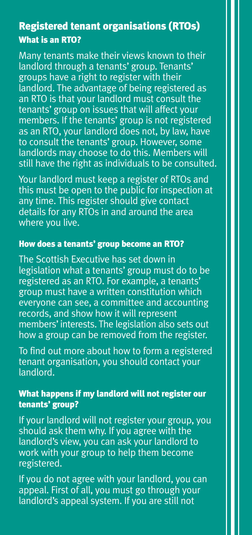# Registered tenant organisations (RTOs) **The total formally to Scottish Ministers by**  $\mathcal{L}(\mathcal{L})$  **to Scottish Ministers by**  $\mathcal{L}(\mathcal{L})$  **, we have**  $\mathcal{L}(\mathcal{L})$

landlord through a tenants' group. Tenants' groups have a right to register with their Thistle House landlord. The advantage of being registered as an RTO is that your landlord must consult the tenants' group on issues that will affect your  $\frac{1}{2}$  There is a produced does not be law as an RTO, your landlord does not, by law, have<br>to sensult the tenants' sreup. Houreuse same to consult the tenants' group. However, some<br>landlords may choose to do this. Members will and or us may choose to do this. Members will all the  $\kappa$ still have the right as individuals to be consulted. Many tenants make their views known to their members. If the tenants' group is not registered to consult the tenants' group. However, some

Your landlord must keep a register of RTOs and any time. This register should give contact any amon'ning register enound give connect<br>details for any RTOs in and around the area tenants on the Housing (Scotland) Act 2001, where you live. this must be open to the public for inspection at

# How does a tenants' group become an RTO?

are listed below. who continue that control to activities of the Housing Control of the legislation what a tenants' group must do to be registered as an RTO. For example, a tenants' erger construction constitution which everyone can see, a committee and accounting records, and show how it will represent members' interests. The legislation also sets out ers a group can be removed noming. The Scottish Executive has set down in how a group can be removed from the register.

To find out more about how to form a registered tenant organisation, you should contact your landlord. The second state of  $\mathbb{R}^n$ 

## What happens if my landlord will not register our tenants' group?

 $\mathbb{R}^n$  ,  $\mathbb{R}^n$  ,  $\mathbb{R}^n$  satisfies  $\mathbb{R}^n$ should ask them why. If you agree with the landlord's view, you can ask your landlord to work with your group to help them become egisterea.<br>A If your landlord will not register your group, you registered.

If you do not agree with your landiond, you can<br>appeal. First of all, you must go through your  $|$ landlord's appeal system. If you are still not  $|$ If you do not agree with your landlord, you can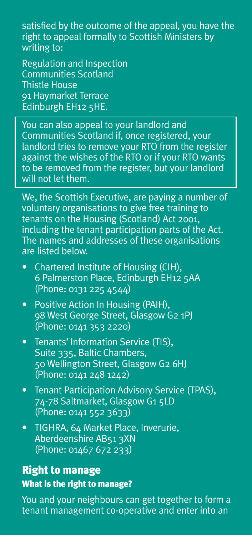satisfied by the outcome of the appeal, you have the right to appeal formally to Scottish Ministers by writing to:

Regulation and Inspection Communities Scotland Thistle House 91 Haymarket Terrace Edinburgh EH12 5HE.

You can also appeal to your landlord and Communities Scotland if, once registered, your landlord tries to remove your RTO from the register against the wishes of the RTO or if your RTO wants to be removed from the register, but your landlord will not let them.

We, the Scottish Executive, are paying a number of voluntary organisations to give free training to tenants on the Housing (Scotland) Act 2001, including the tenant participation parts of the Act. The names and addresses of these organisations are listed below.

- Chartered Institute of Housing (CIH), 6 Palmerston Place, Edinburgh EH12 5AA (Phone: 0131 225 4544)
- Positive Action In Housing (PAIH), 98 West George Street, Glasgow G2 1PJ (Phone: 0141 353 2220)
- Tenants' Information Service (TIS), Suite 335, Baltic Chambers, 50 Wellington Street, Glasgow G2 6HJ (Phone: 0141 248 1242)
- Tenant Participation Advisory Service (TPAS), 74-78 Saltmarket, Glasgow G1 5LD (Phone: 0141 552 3633)
- TIGHRA, 64 Market Place, Inverurie, Aberdeenshire AB51 3XN (Phone: 01467 672 233)

# Right to manage

#### What is the right to manage?

You and your neighbours can get together to form a tenant management co-operative and enter into an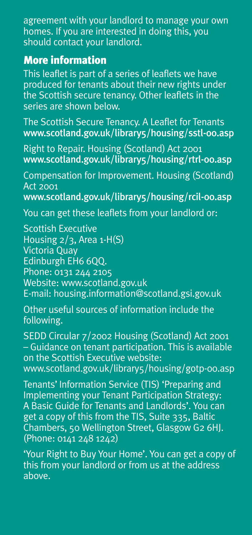agreement with your landlord to manage your own homes. If you are interested in doing this, you should contact your landlord.

# More information

This leaflet is part of a series of leaflets we have produced for tenants about their new rights under the Scottish secure tenancy. Other leaflets in the series are shown below.

The Scottish Secure Tenancy. A Leaflet for Tenants www.scotland.gov.uk/library5/housing/sstl-00.asp

Right to Repair. Housing (Scotland) Act 2001 www.scotland.gov.uk/library5/housing/rtrl-00.asp

Compensation for Improvement. Housing (Scotland) Act 2001

www.scotland.gov.uk/library5/housing/rcil-00.asp

You can get these leaflets from your landlord or:

Scottish Executive Housing 2/3, Area 1-H(S) Victoria Quay Edinburgh EH6 6QQ. Phone: 0131 244 2105 Website: www.scotland.gov.uk E-mail: housing.information@scotland.gsi.gov.uk

Other useful sources of information include the following.

SEDD Circular 7/2002 Housing (Scotland) Act 2001 – Guidance on tenant participation. This is available on the Scottish Executive website: www.scotland.gov.uk/library5/housing/gotp-00.asp

Tenants' Information Service (TIS) 'Preparing and Implementing your Tenant Participation Strategy: A Basic Guide for Tenants and Landlords'. You can get a copy of this from the TIS, Suite 335, Baltic Chambers, 50 Wellington Street, Glasgow G2 6HJ. (Phone: 0141 248 1242)

'Your Right to Buy Your Home'. You can get a copy of this from your landlord or from us at the address above.